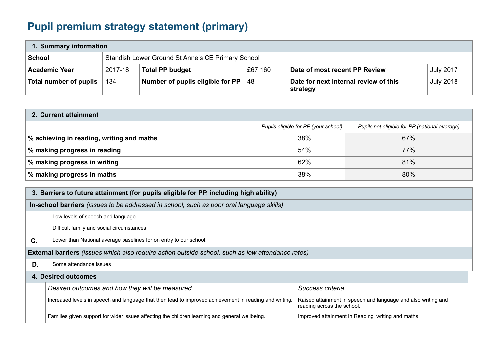## **Pupil premium strategy statement (primary)**

| 1. Summary information |         |                                                   |         |                                                   |                  |
|------------------------|---------|---------------------------------------------------|---------|---------------------------------------------------|------------------|
| <b>School</b>          |         | Standish Lower Ground St Anne's CE Primary School |         |                                                   |                  |
| <b>Academic Year</b>   | 2017-18 | <b>Total PP budget</b>                            | £67,160 | Date of most recent PP Review                     | <b>July 2017</b> |
| Total number of pupils | 134     | Number of pupils eligible for PP                  | 48      | Date for next internal review of this<br>strategy | <b>July 2018</b> |

| 2. Current attainment                     |                                      |                                               |  |  |
|-------------------------------------------|--------------------------------------|-----------------------------------------------|--|--|
|                                           | Pupils eligible for PP (your school) | Pupils not eligible for PP (national average) |  |  |
| % achieving in reading, writing and maths | 38%                                  | 67%                                           |  |  |
| % making progress in reading              | 54%                                  | 77%                                           |  |  |
| % making progress in writing              | 62%                                  | 81%                                           |  |  |
| % making progress in maths                | 38%                                  | 80%                                           |  |  |

| 3. Barriers to future attainment (for pupils eligible for PP, including high ability)                    |                                                                                                        |                                                                                             |  |  |  |
|----------------------------------------------------------------------------------------------------------|--------------------------------------------------------------------------------------------------------|---------------------------------------------------------------------------------------------|--|--|--|
| In-school barriers (issues to be addressed in school, such as poor oral language skills)                 |                                                                                                        |                                                                                             |  |  |  |
|                                                                                                          | Low levels of speech and language                                                                      |                                                                                             |  |  |  |
|                                                                                                          | Difficult family and social circumstances                                                              |                                                                                             |  |  |  |
| C.                                                                                                       | Lower than National average baselines for on entry to our school.                                      |                                                                                             |  |  |  |
| <b>External barriers</b> (issues which also require action outside school, such as low attendance rates) |                                                                                                        |                                                                                             |  |  |  |
| D.                                                                                                       | Some attendance issues                                                                                 |                                                                                             |  |  |  |
| 4. Desired outcomes                                                                                      |                                                                                                        |                                                                                             |  |  |  |
|                                                                                                          | Desired outcomes and how they will be measured                                                         | Success criteria                                                                            |  |  |  |
|                                                                                                          | Increased levels in speech and language that then lead to improved achievement in reading and writing. | Raised attainment in speech and language and also writing and<br>reading across the school. |  |  |  |
|                                                                                                          | Families given support for wider issues affecting the children learning and general wellbeing.         | Improved attainment in Reading, writing and maths                                           |  |  |  |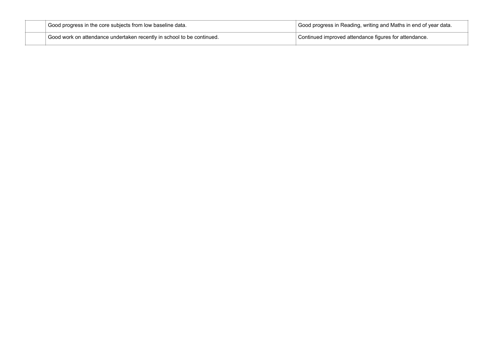| Good progress in the core subjects from low baseline data.             | $\mathrm{^{+}}$ Good progress in Reading, writing and Maths in end of year data. |
|------------------------------------------------------------------------|----------------------------------------------------------------------------------|
| Good work on attendance undertaken recently in school to be continued. | Continued improved attendance figures for attendance.                            |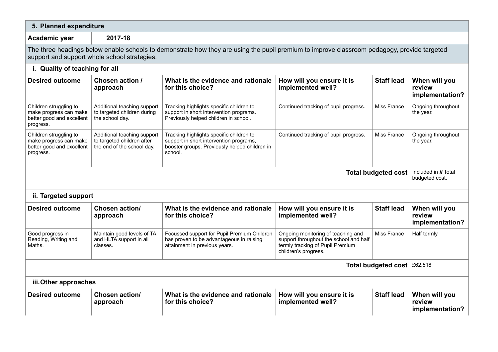| 5. Planned expenditure                                                                                                                                                                      |                                                                                         |                                                                                                                                                 |                                                                                                                                          |                   |                                            |  |
|---------------------------------------------------------------------------------------------------------------------------------------------------------------------------------------------|-----------------------------------------------------------------------------------------|-------------------------------------------------------------------------------------------------------------------------------------------------|------------------------------------------------------------------------------------------------------------------------------------------|-------------------|--------------------------------------------|--|
| 2017-18<br>Academic year                                                                                                                                                                    |                                                                                         |                                                                                                                                                 |                                                                                                                                          |                   |                                            |  |
| The three headings below enable schools to demonstrate how they are using the pupil premium to improve classroom pedagogy, provide targeted<br>support and support whole school strategies. |                                                                                         |                                                                                                                                                 |                                                                                                                                          |                   |                                            |  |
| i. Quality of teaching for all                                                                                                                                                              |                                                                                         |                                                                                                                                                 |                                                                                                                                          |                   |                                            |  |
| <b>Desired outcome</b>                                                                                                                                                                      | Chosen action /<br>approach                                                             | What is the evidence and rationale<br>for this choice?                                                                                          | How will you ensure it is<br>implemented well?                                                                                           | <b>Staff lead</b> | When will you<br>review<br>implementation? |  |
| Children struggling to<br>make progress can make<br>better good and excellent<br>progress.                                                                                                  | Additional teaching support<br>to targeted children during<br>the school day.           | Tracking highlights specific children to<br>support in short intervention programs.<br>Previously helped children in school.                    | Continued tracking of pupil progress.                                                                                                    | Miss France       | Ongoing throughout<br>the year.            |  |
| Children struggling to<br>make progress can make<br>better good and excellent<br>progress.                                                                                                  | Additional teaching support<br>to targeted children after<br>the end of the school day. | Tracking highlights specific children to<br>support in short intervention programs,<br>booster groups. Previously helped children in<br>school. | Continued tracking of pupil progress.                                                                                                    | Miss France       | Ongoing throughout<br>the year.            |  |
| <b>Total budgeted cost</b>                                                                                                                                                                  |                                                                                         |                                                                                                                                                 |                                                                                                                                          |                   |                                            |  |
| ii. Targeted support                                                                                                                                                                        |                                                                                         |                                                                                                                                                 |                                                                                                                                          |                   |                                            |  |
| <b>Desired outcome</b>                                                                                                                                                                      | <b>Chosen action/</b><br>approach                                                       | What is the evidence and rationale<br>for this choice?                                                                                          | How will you ensure it is<br>implemented well?                                                                                           | <b>Staff lead</b> | When will you<br>review<br>implementation? |  |
| Good progress in<br>Reading, Writing and<br>Maths.                                                                                                                                          | Maintain good levels of TA<br>and HLTA support in all<br>classes.                       | Focussed support for Pupil Premium Children<br>has proven to be advantageous in raising<br>attainment in previous years.                        | Ongoing monitoring of teaching and<br>support throughout the school and half<br>termly tracking of Pupil Premium<br>children's progress. | Miss France       | Half termly                                |  |
| Total budgeted cost £62,518                                                                                                                                                                 |                                                                                         |                                                                                                                                                 |                                                                                                                                          |                   |                                            |  |
| iii. Other approaches                                                                                                                                                                       |                                                                                         |                                                                                                                                                 |                                                                                                                                          |                   |                                            |  |
| <b>Desired outcome</b>                                                                                                                                                                      | <b>Chosen action/</b><br>approach                                                       | What is the evidence and rationale<br>for this choice?                                                                                          | How will you ensure it is<br>implemented well?                                                                                           | <b>Staff lead</b> | When will you<br>review<br>implementation? |  |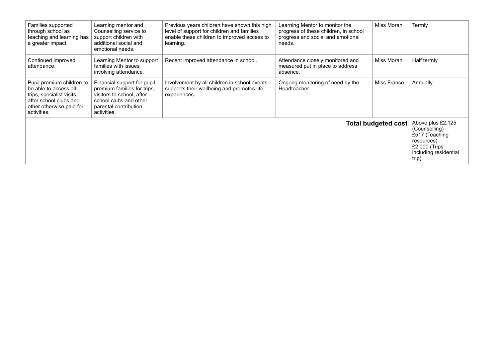| Families supported<br>through school as<br>teaching and learning has<br>a greater impact.                                                            | Learning mentor and<br>Counselling service to<br>support children with<br>additional social and<br>emotional needs.                                       | Previous years children have shown this high<br>level of support for children and families<br>enable these children to improved access to<br>learning. | Learning Mentor to monitor the<br>progress of these children, in school<br>progress and social and emotional<br>needs. | Miss Moran  | Termly      |
|------------------------------------------------------------------------------------------------------------------------------------------------------|-----------------------------------------------------------------------------------------------------------------------------------------------------------|--------------------------------------------------------------------------------------------------------------------------------------------------------|------------------------------------------------------------------------------------------------------------------------|-------------|-------------|
| Continued improved<br>attendance.                                                                                                                    | Learning Mentor to support<br>families with issues<br>involving attendance.                                                                               | Recent improved attendance in school.                                                                                                                  | Attendance closely monitored and<br>measured put in place to address<br>absence.                                       | Miss Moran  | Half termly |
| Pupil premium children to<br>be able to access all<br>trips, specialist visits,<br>after school clubs and<br>other otherwise paid for<br>activities. | Financial support for pupil<br>premium families for trips,<br>visitors to school, after<br>school clubs and other<br>parental contribution<br>activities. | Involvement by all children in school events<br>supports their wellbeing and promotes life<br>experiences.                                             | Ongong monitoring of need by the<br>Headteacher.                                                                       | Miss France | Annually    |
| <b>Total budgeted cost</b>                                                                                                                           |                                                                                                                                                           |                                                                                                                                                        |                                                                                                                        |             |             |